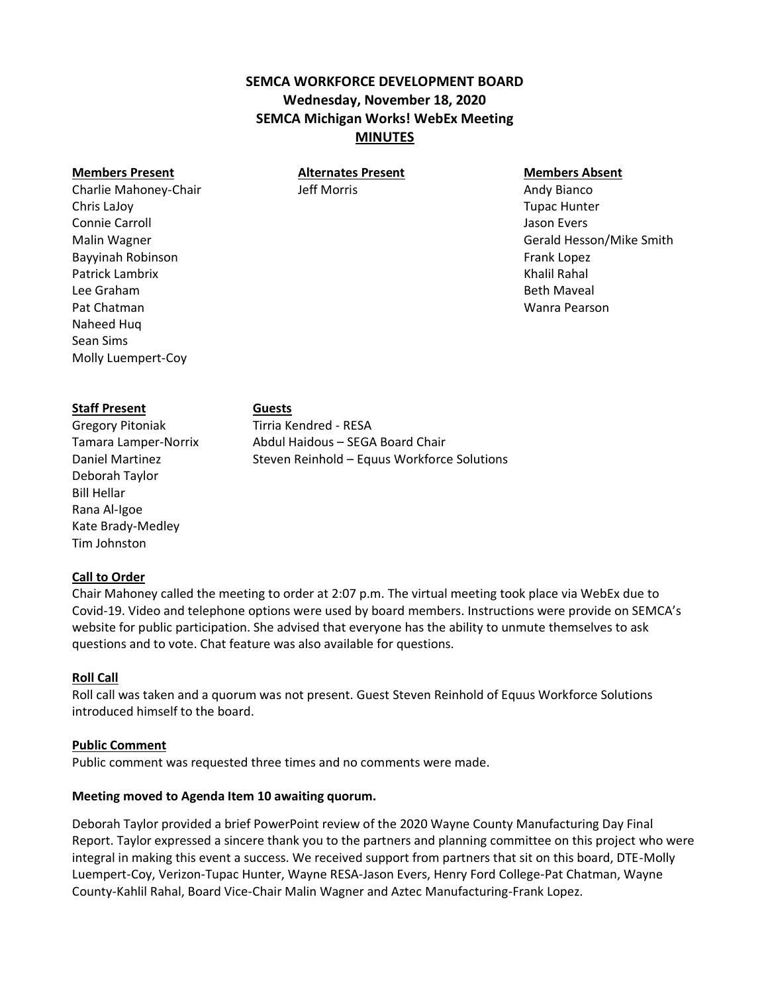# **SEMCA WORKFORCE DEVELOPMENT BOARD Wednesday, November 18, 2020 SEMCA Michigan Works! WebEx Meeting MINUTES**

# **Members Present Alternates Present Members Absent**

Charlie Mahoney-Chair Jeff Morris Andy Bianco Chris LaJoy Tupac Hunter Connie Carroll Jason Evers Malin Wagner Gerald Hesson/Mike Smith Bayyinah Robinson **Frank Lopez Example 2** and the state of the state of the state of the state of the state of the state of the state of the state of the state of the state of the state of the state of the state of the s Patrick Lambrix **Exercía Exercía Exercía Exercía Exercía Exercía Exercía Exercía Exercía Exercía Exercía Exercí** Lee Graham Beth Maveal Pat Chatman Wanra Pearson

#### **Staff Present Guests**

Naheed Huq Sean Sims

Molly Luempert-Coy

Gregory Pitoniak Tirria Kendred - RESA Deborah Taylor Bill Hellar Rana Al-Igoe Kate Brady-Medley Tim Johnston

Tamara Lamper-Norrix Abdul Haidous – SEGA Board Chair Daniel Martinez Steven Reinhold – Equus Workforce Solutions

## **Call to Order**

Chair Mahoney called the meeting to order at 2:07 p.m. The virtual meeting took place via WebEx due to Covid-19. Video and telephone options were used by board members. Instructions were provide on SEMCA's website for public participation. She advised that everyone has the ability to unmute themselves to ask questions and to vote. Chat feature was also available for questions.

### **Roll Call**

Roll call was taken and a quorum was not present. Guest Steven Reinhold of Equus Workforce Solutions introduced himself to the board.

### **Public Comment**

Public comment was requested three times and no comments were made.

### **Meeting moved to Agenda Item 10 awaiting quorum.**

Deborah Taylor provided a brief PowerPoint review of the 2020 Wayne County Manufacturing Day Final Report. Taylor expressed a sincere thank you to the partners and planning committee on this project who were integral in making this event a success. We received support from partners that sit on this board, DTE-Molly Luempert-Coy, Verizon-Tupac Hunter, Wayne RESA-Jason Evers, Henry Ford College-Pat Chatman, Wayne County-Kahlil Rahal, Board Vice-Chair Malin Wagner and Aztec Manufacturing-Frank Lopez.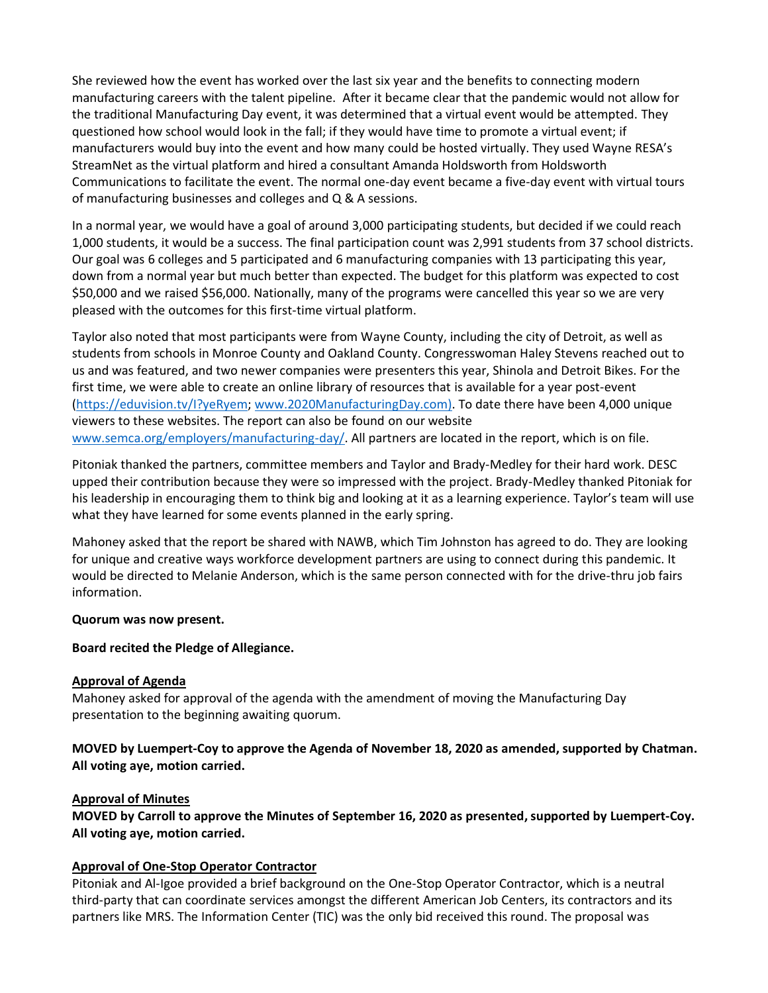She reviewed how the event has worked over the last six year and the benefits to connecting modern manufacturing careers with the talent pipeline. After it became clear that the pandemic would not allow for the traditional Manufacturing Day event, it was determined that a virtual event would be attempted. They questioned how school would look in the fall; if they would have time to promote a virtual event; if manufacturers would buy into the event and how many could be hosted virtually. They used Wayne RESA's StreamNet as the virtual platform and hired a consultant Amanda Holdsworth from Holdsworth Communications to facilitate the event. The normal one-day event became a five-day event with virtual tours of manufacturing businesses and colleges and Q & A sessions.

In a normal year, we would have a goal of around 3,000 participating students, but decided if we could reach 1,000 students, it would be a success. The final participation count was 2,991 students from 37 school districts. Our goal was 6 colleges and 5 participated and 6 manufacturing companies with 13 participating this year, down from a normal year but much better than expected. The budget for this platform was expected to cost \$50,000 and we raised \$56,000. Nationally, many of the programs were cancelled this year so we are very pleased with the outcomes for this first-time virtual platform.

Taylor also noted that most participants were from Wayne County, including the city of Detroit, as well as students from schools in Monroe County and Oakland County. Congresswoman Haley Stevens reached out to us and was featured, and two newer companies were presenters this year, Shinola and Detroit Bikes. For the first time, we were able to create an online library of resources that is available for a year post-event [\(https://eduvision.tv/I?yeRyem;](https://eduvision.tv/I?yeRyem) [www.2020ManufacturingDay.com\)](http://www.2020manufacturingday.com/). To date there have been 4,000 unique viewers to these websites. The report can also be found on our website [www.semca.org/employers/manufacturing-day/.](http://www.semca.org/employers/manufacturing-day/) All partners are located in the report, which is on file.

Pitoniak thanked the partners, committee members and Taylor and Brady-Medley for their hard work. DESC upped their contribution because they were so impressed with the project. Brady-Medley thanked Pitoniak for his leadership in encouraging them to think big and looking at it as a learning experience. Taylor's team will use what they have learned for some events planned in the early spring.

Mahoney asked that the report be shared with NAWB, which Tim Johnston has agreed to do. They are looking for unique and creative ways workforce development partners are using to connect during this pandemic. It would be directed to Melanie Anderson, which is the same person connected with for the drive-thru job fairs information.

## **Quorum was now present.**

## **Board recited the Pledge of Allegiance.**

## **Approval of Agenda**

Mahoney asked for approval of the agenda with the amendment of moving the Manufacturing Day presentation to the beginning awaiting quorum.

**MOVED by Luempert-Coy to approve the Agenda of November 18, 2020 as amended, supported by Chatman. All voting aye, motion carried.**

## **Approval of Minutes**

**MOVED by Carroll to approve the Minutes of September 16, 2020 as presented, supported by Luempert-Coy. All voting aye, motion carried.**

## **Approval of One-Stop Operator Contractor**

Pitoniak and Al-Igoe provided a brief background on the One-Stop Operator Contractor, which is a neutral third-party that can coordinate services amongst the different American Job Centers, its contractors and its partners like MRS. The Information Center (TIC) was the only bid received this round. The proposal was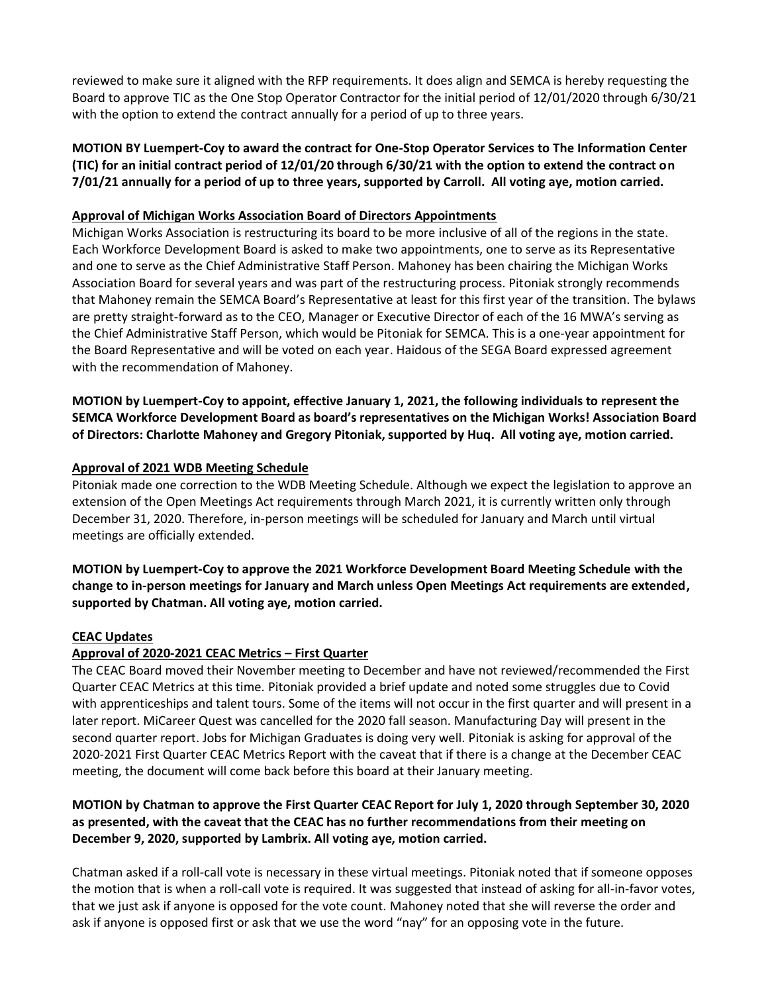reviewed to make sure it aligned with the RFP requirements. It does align and SEMCA is hereby requesting the Board to approve TIC as the One Stop Operator Contractor for the initial period of 12/01/2020 through 6/30/21 with the option to extend the contract annually for a period of up to three years.

**MOTION BY Luempert-Coy to award the contract for One-Stop Operator Services to The Information Center (TIC) for an initial contract period of 12/01/20 through 6/30/21 with the option to extend the contract on 7/01/21 annually for a period of up to three years, supported by Carroll. All voting aye, motion carried.**

## **Approval of Michigan Works Association Board of Directors Appointments**

Michigan Works Association is restructuring its board to be more inclusive of all of the regions in the state. Each Workforce Development Board is asked to make two appointments, one to serve as its Representative and one to serve as the Chief Administrative Staff Person. Mahoney has been chairing the Michigan Works Association Board for several years and was part of the restructuring process. Pitoniak strongly recommends that Mahoney remain the SEMCA Board's Representative at least for this first year of the transition. The bylaws are pretty straight-forward as to the CEO, Manager or Executive Director of each of the 16 MWA's serving as the Chief Administrative Staff Person, which would be Pitoniak for SEMCA. This is a one-year appointment for the Board Representative and will be voted on each year. Haidous of the SEGA Board expressed agreement with the recommendation of Mahoney.

**MOTION by Luempert-Coy to appoint, effective January 1, 2021, the following individuals to represent the SEMCA Workforce Development Board as board's representatives on the Michigan Works! Association Board of Directors: Charlotte Mahoney and Gregory Pitoniak, supported by Huq. All voting aye, motion carried.**

# **Approval of 2021 WDB Meeting Schedule**

Pitoniak made one correction to the WDB Meeting Schedule. Although we expect the legislation to approve an extension of the Open Meetings Act requirements through March 2021, it is currently written only through December 31, 2020. Therefore, in-person meetings will be scheduled for January and March until virtual meetings are officially extended.

**MOTION by Luempert-Coy to approve the 2021 Workforce Development Board Meeting Schedule with the change to in-person meetings for January and March unless Open Meetings Act requirements are extended, supported by Chatman. All voting aye, motion carried.**

## **CEAC Updates**

# **Approval of 2020-2021 CEAC Metrics – First Quarter**

The CEAC Board moved their November meeting to December and have not reviewed/recommended the First Quarter CEAC Metrics at this time. Pitoniak provided a brief update and noted some struggles due to Covid with apprenticeships and talent tours. Some of the items will not occur in the first quarter and will present in a later report. MiCareer Quest was cancelled for the 2020 fall season. Manufacturing Day will present in the second quarter report. Jobs for Michigan Graduates is doing very well. Pitoniak is asking for approval of the 2020-2021 First Quarter CEAC Metrics Report with the caveat that if there is a change at the December CEAC meeting, the document will come back before this board at their January meeting.

# **MOTION by Chatman to approve the First Quarter CEAC Report for July 1, 2020 through September 30, 2020 as presented, with the caveat that the CEAC has no further recommendations from their meeting on December 9, 2020, supported by Lambrix. All voting aye, motion carried.**

Chatman asked if a roll-call vote is necessary in these virtual meetings. Pitoniak noted that if someone opposes the motion that is when a roll-call vote is required. It was suggested that instead of asking for all-in-favor votes, that we just ask if anyone is opposed for the vote count. Mahoney noted that she will reverse the order and ask if anyone is opposed first or ask that we use the word "nay" for an opposing vote in the future.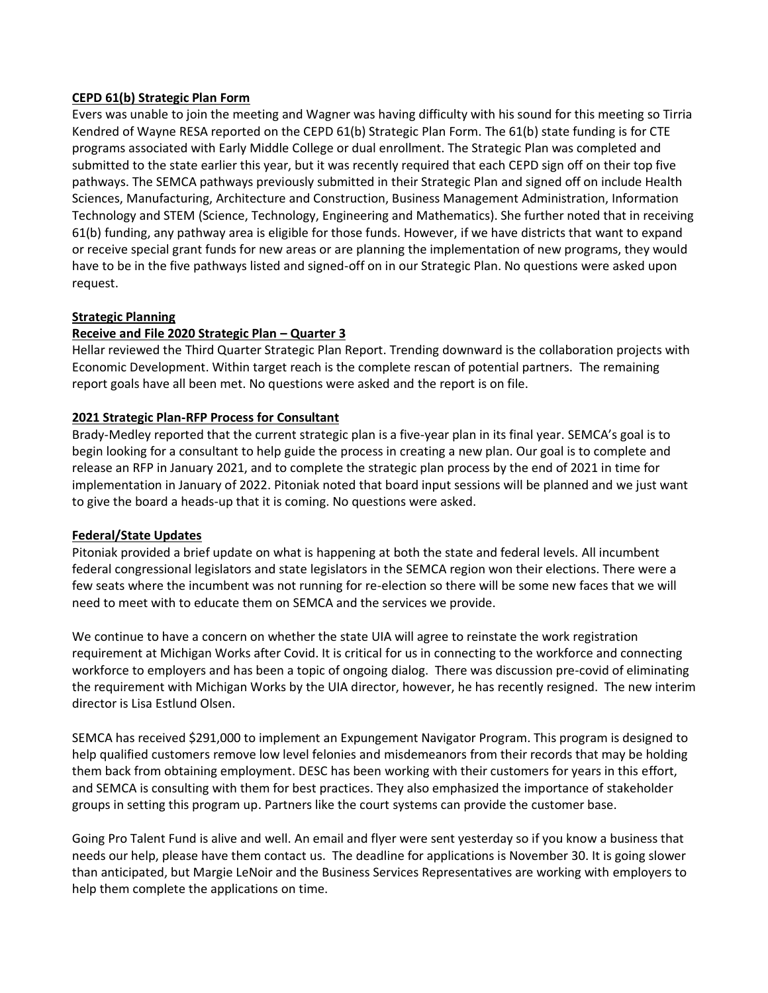## **CEPD 61(b) Strategic Plan Form**

Evers was unable to join the meeting and Wagner was having difficulty with his sound for this meeting so Tirria Kendred of Wayne RESA reported on the CEPD 61(b) Strategic Plan Form. The 61(b) state funding is for CTE programs associated with Early Middle College or dual enrollment. The Strategic Plan was completed and submitted to the state earlier this year, but it was recently required that each CEPD sign off on their top five pathways. The SEMCA pathways previously submitted in their Strategic Plan and signed off on include Health Sciences, Manufacturing, Architecture and Construction, Business Management Administration, Information Technology and STEM (Science, Technology, Engineering and Mathematics). She further noted that in receiving 61(b) funding, any pathway area is eligible for those funds. However, if we have districts that want to expand or receive special grant funds for new areas or are planning the implementation of new programs, they would have to be in the five pathways listed and signed-off on in our Strategic Plan. No questions were asked upon request.

## **Strategic Planning**

## **Receive and File 2020 Strategic Plan – Quarter 3**

Hellar reviewed the Third Quarter Strategic Plan Report. Trending downward is the collaboration projects with Economic Development. Within target reach is the complete rescan of potential partners. The remaining report goals have all been met. No questions were asked and the report is on file.

## **2021 Strategic Plan-RFP Process for Consultant**

Brady-Medley reported that the current strategic plan is a five-year plan in its final year. SEMCA's goal is to begin looking for a consultant to help guide the process in creating a new plan. Our goal is to complete and release an RFP in January 2021, and to complete the strategic plan process by the end of 2021 in time for implementation in January of 2022. Pitoniak noted that board input sessions will be planned and we just want to give the board a heads-up that it is coming. No questions were asked.

### **Federal/State Updates**

Pitoniak provided a brief update on what is happening at both the state and federal levels. All incumbent federal congressional legislators and state legislators in the SEMCA region won their elections. There were a few seats where the incumbent was not running for re-election so there will be some new faces that we will need to meet with to educate them on SEMCA and the services we provide.

We continue to have a concern on whether the state UIA will agree to reinstate the work registration requirement at Michigan Works after Covid. It is critical for us in connecting to the workforce and connecting workforce to employers and has been a topic of ongoing dialog. There was discussion pre-covid of eliminating the requirement with Michigan Works by the UIA director, however, he has recently resigned. The new interim director is Lisa Estlund Olsen.

SEMCA has received \$291,000 to implement an Expungement Navigator Program. This program is designed to help qualified customers remove low level felonies and misdemeanors from their records that may be holding them back from obtaining employment. DESC has been working with their customers for years in this effort, and SEMCA is consulting with them for best practices. They also emphasized the importance of stakeholder groups in setting this program up. Partners like the court systems can provide the customer base.

Going Pro Talent Fund is alive and well. An email and flyer were sent yesterday so if you know a business that needs our help, please have them contact us. The deadline for applications is November 30. It is going slower than anticipated, but Margie LeNoir and the Business Services Representatives are working with employers to help them complete the applications on time.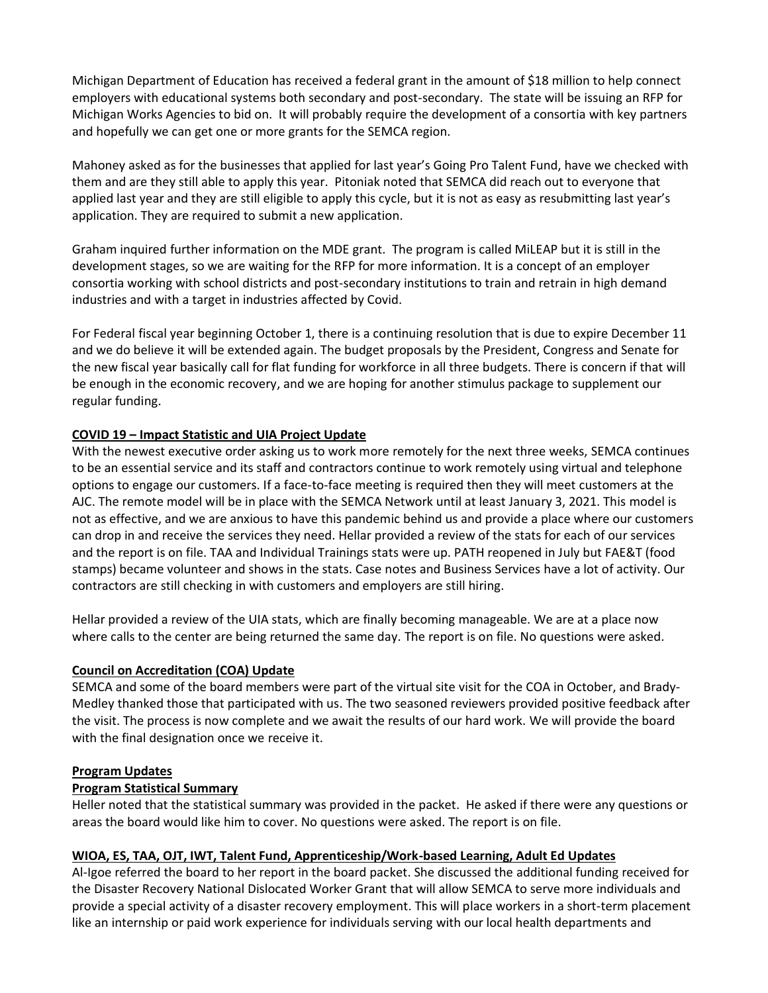Michigan Department of Education has received a federal grant in the amount of \$18 million to help connect employers with educational systems both secondary and post-secondary. The state will be issuing an RFP for Michigan Works Agencies to bid on. It will probably require the development of a consortia with key partners and hopefully we can get one or more grants for the SEMCA region.

Mahoney asked as for the businesses that applied for last year's Going Pro Talent Fund, have we checked with them and are they still able to apply this year. Pitoniak noted that SEMCA did reach out to everyone that applied last year and they are still eligible to apply this cycle, but it is not as easy as resubmitting last year's application. They are required to submit a new application.

Graham inquired further information on the MDE grant. The program is called MiLEAP but it is still in the development stages, so we are waiting for the RFP for more information. It is a concept of an employer consortia working with school districts and post-secondary institutions to train and retrain in high demand industries and with a target in industries affected by Covid.

For Federal fiscal year beginning October 1, there is a continuing resolution that is due to expire December 11 and we do believe it will be extended again. The budget proposals by the President, Congress and Senate for the new fiscal year basically call for flat funding for workforce in all three budgets. There is concern if that will be enough in the economic recovery, and we are hoping for another stimulus package to supplement our regular funding.

# **COVID 19 – Impact Statistic and UIA Project Update**

With the newest executive order asking us to work more remotely for the next three weeks, SEMCA continues to be an essential service and its staff and contractors continue to work remotely using virtual and telephone options to engage our customers. If a face-to-face meeting is required then they will meet customers at the AJC. The remote model will be in place with the SEMCA Network until at least January 3, 2021. This model is not as effective, and we are anxious to have this pandemic behind us and provide a place where our customers can drop in and receive the services they need. Hellar provided a review of the stats for each of our services and the report is on file. TAA and Individual Trainings stats were up. PATH reopened in July but FAE&T (food stamps) became volunteer and shows in the stats. Case notes and Business Services have a lot of activity. Our contractors are still checking in with customers and employers are still hiring.

Hellar provided a review of the UIA stats, which are finally becoming manageable. We are at a place now where calls to the center are being returned the same day. The report is on file. No questions were asked.

## **Council on Accreditation (COA) Update**

SEMCA and some of the board members were part of the virtual site visit for the COA in October, and Brady-Medley thanked those that participated with us. The two seasoned reviewers provided positive feedback after the visit. The process is now complete and we await the results of our hard work. We will provide the board with the final designation once we receive it.

## **Program Updates**

# **Program Statistical Summary**

Heller noted that the statistical summary was provided in the packet. He asked if there were any questions or areas the board would like him to cover. No questions were asked. The report is on file.

## **WIOA, ES, TAA, OJT, IWT, Talent Fund, Apprenticeship/Work-based Learning, Adult Ed Updates**

Al-Igoe referred the board to her report in the board packet. She discussed the additional funding received for the Disaster Recovery National Dislocated Worker Grant that will allow SEMCA to serve more individuals and provide a special activity of a disaster recovery employment. This will place workers in a short-term placement like an internship or paid work experience for individuals serving with our local health departments and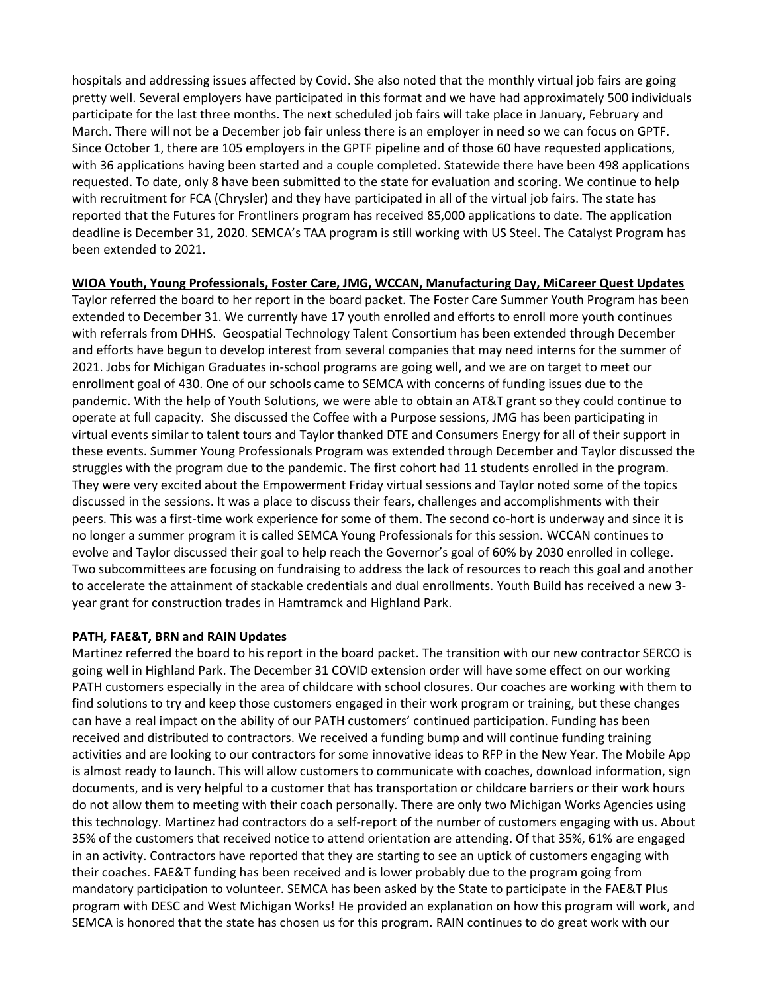hospitals and addressing issues affected by Covid. She also noted that the monthly virtual job fairs are going pretty well. Several employers have participated in this format and we have had approximately 500 individuals participate for the last three months. The next scheduled job fairs will take place in January, February and March. There will not be a December job fair unless there is an employer in need so we can focus on GPTF. Since October 1, there are 105 employers in the GPTF pipeline and of those 60 have requested applications, with 36 applications having been started and a couple completed. Statewide there have been 498 applications requested. To date, only 8 have been submitted to the state for evaluation and scoring. We continue to help with recruitment for FCA (Chrysler) and they have participated in all of the virtual job fairs. The state has reported that the Futures for Frontliners program has received 85,000 applications to date. The application deadline is December 31, 2020. SEMCA's TAA program is still working with US Steel. The Catalyst Program has been extended to 2021.

## **WIOA Youth, Young Professionals, Foster Care, JMG, WCCAN, Manufacturing Day, MiCareer Quest Updates**

Taylor referred the board to her report in the board packet. The Foster Care Summer Youth Program has been extended to December 31. We currently have 17 youth enrolled and efforts to enroll more youth continues with referrals from DHHS. Geospatial Technology Talent Consortium has been extended through December and efforts have begun to develop interest from several companies that may need interns for the summer of 2021. Jobs for Michigan Graduates in-school programs are going well, and we are on target to meet our enrollment goal of 430. One of our schools came to SEMCA with concerns of funding issues due to the pandemic. With the help of Youth Solutions, we were able to obtain an AT&T grant so they could continue to operate at full capacity. She discussed the Coffee with a Purpose sessions, JMG has been participating in virtual events similar to talent tours and Taylor thanked DTE and Consumers Energy for all of their support in these events. Summer Young Professionals Program was extended through December and Taylor discussed the struggles with the program due to the pandemic. The first cohort had 11 students enrolled in the program. They were very excited about the Empowerment Friday virtual sessions and Taylor noted some of the topics discussed in the sessions. It was a place to discuss their fears, challenges and accomplishments with their peers. This was a first-time work experience for some of them. The second co-hort is underway and since it is no longer a summer program it is called SEMCA Young Professionals for this session. WCCAN continues to evolve and Taylor discussed their goal to help reach the Governor's goal of 60% by 2030 enrolled in college. Two subcommittees are focusing on fundraising to address the lack of resources to reach this goal and another to accelerate the attainment of stackable credentials and dual enrollments. Youth Build has received a new 3 year grant for construction trades in Hamtramck and Highland Park.

## **PATH, FAE&T, BRN and RAIN Updates**

Martinez referred the board to his report in the board packet. The transition with our new contractor SERCO is going well in Highland Park. The December 31 COVID extension order will have some effect on our working PATH customers especially in the area of childcare with school closures. Our coaches are working with them to find solutions to try and keep those customers engaged in their work program or training, but these changes can have a real impact on the ability of our PATH customers' continued participation. Funding has been received and distributed to contractors. We received a funding bump and will continue funding training activities and are looking to our contractors for some innovative ideas to RFP in the New Year. The Mobile App is almost ready to launch. This will allow customers to communicate with coaches, download information, sign documents, and is very helpful to a customer that has transportation or childcare barriers or their work hours do not allow them to meeting with their coach personally. There are only two Michigan Works Agencies using this technology. Martinez had contractors do a self-report of the number of customers engaging with us. About 35% of the customers that received notice to attend orientation are attending. Of that 35%, 61% are engaged in an activity. Contractors have reported that they are starting to see an uptick of customers engaging with their coaches. FAE&T funding has been received and is lower probably due to the program going from mandatory participation to volunteer. SEMCA has been asked by the State to participate in the FAE&T Plus program with DESC and West Michigan Works! He provided an explanation on how this program will work, and SEMCA is honored that the state has chosen us for this program. RAIN continues to do great work with our